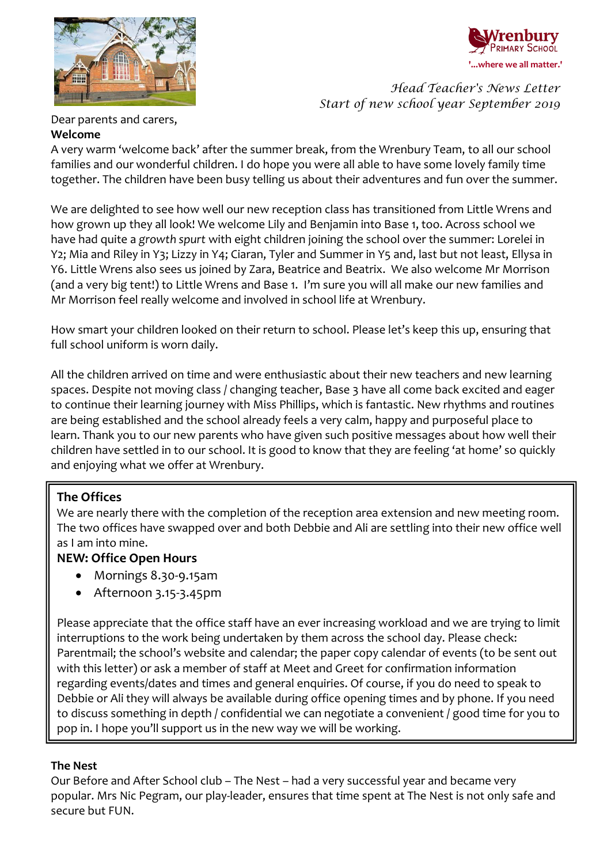

# **'...where we all matter.'**

*Head Teacher's News Letter Start of new school year September 2019*

Dear parents and carers,

#### **Welcome**

A very warm 'welcome back' after the summer break, from the Wrenbury Team, to all our school families and our wonderful children. I do hope you were all able to have some lovely family time together. The children have been busy telling us about their adventures and fun over the summer.

We are delighted to see how well our new reception class has transitioned from Little Wrens and how grown up they all look! We welcome Lily and Benjamin into Base 1, too. Across school we have had quite a *growth spurt* with eight children joining the school over the summer: Lorelei in Y2; Mia and Riley in Y3; Lizzy in Y4; Ciaran, Tyler and Summer in Y5 and, last but not least, Ellysa in Y6. Little Wrens also sees us joined by Zara, Beatrice and Beatrix. We also welcome Mr Morrison (and a very big tent!) to Little Wrens and Base 1. I'm sure you will all make our new families and Mr Morrison feel really welcome and involved in school life at Wrenbury.

How smart your children looked on their return to school. Please let's keep this up, ensuring that full school uniform is worn daily.

All the children arrived on time and were enthusiastic about their new teachers and new learning spaces. Despite not moving class / changing teacher, Base 3 have all come back excited and eager to continue their learning journey with Miss Phillips, which is fantastic. New rhythms and routines are being established and the school already feels a very calm, happy and purposeful place to learn. Thank you to our new parents who have given such positive messages about how well their children have settled in to our school. It is good to know that they are feeling 'at home' so quickly and enjoying what we offer at Wrenbury.

# **The Offices**

We are nearly there with the completion of the reception area extension and new meeting room. The two offices have swapped over and both Debbie and Ali are settling into their new office well as I am into mine.

# **NEW: Office Open Hours**

- Mornings 8.30-9.15am
- Afternoon 3.15-3.45pm

Please appreciate that the office staff have an ever increasing workload and we are trying to limit interruptions to the work being undertaken by them across the school day. Please check: Parentmail; the school's website and calendar; the paper copy calendar of events (to be sent out with this letter) or ask a member of staff at Meet and Greet for confirmation information regarding events/dates and times and general enquiries. Of course, if you do need to speak to Debbie or Ali they will always be available during office opening times and by phone. If you need to discuss something in depth / confidential we can negotiate a convenient / good time for you to pop in. I hope you'll support us in the new way we will be working.

# **The Nest**

Our Before and After School club – The Nest – had a very successful year and became very popular. Mrs Nic Pegram, our play-leader, ensures that time spent at The Nest is not only safe and secure but FUN.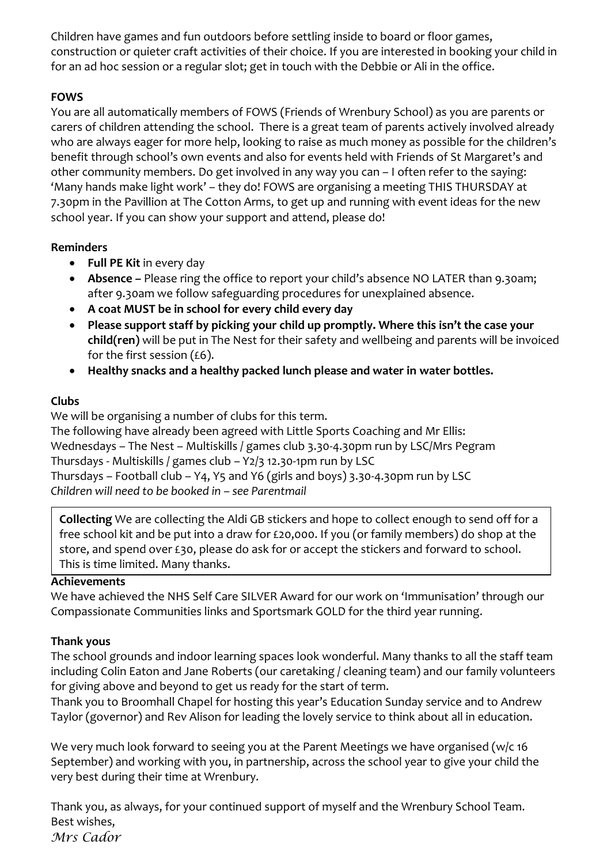Children have games and fun outdoors before settling inside to board or floor games, construction or quieter craft activities of their choice. If you are interested in booking your child in for an ad hoc session or a regular slot; get in touch with the Debbie or Ali in the office.

#### **FOWS**

You are all automatically members of FOWS (Friends of Wrenbury School) as you are parents or carers of children attending the school. There is a great team of parents actively involved already who are always eager for more help, looking to raise as much money as possible for the children's benefit through school's own events and also for events held with Friends of St Margaret's and other community members. Do get involved in any way you can – I often refer to the saying: 'Many hands make light work' – they do! FOWS are organising a meeting THIS THURSDAY at 7.30pm in the Pavillion at The Cotton Arms, to get up and running with event ideas for the new school year. If you can show your support and attend, please do!

#### **Reminders**

- **Full PE Kit** in every day
- **Absence –** Please ring the office to report your child's absence NO LATER than 9.30am; after 9.30am we follow safeguarding procedures for unexplained absence.
- **A coat MUST be in school for every child every day**
- **Please support staff by picking your child up promptly. Where this isn't the case your child(ren)** will be put in The Nest for their safety and wellbeing and parents will be invoiced for the first session  $(6)$ .
- **Healthy snacks and a healthy packed lunch please and water in water bottles.**

# **Clubs**

We will be organising a number of clubs for this term.

The following have already been agreed with Little Sports Coaching and Mr Ellis: Wednesdays – The Nest – Multiskills / games club 3.30-4.30pm run by LSC/Mrs Pegram Thursdays - Multiskills / games club – Y2/3 12.30-1pm run by LSC Thursdays – Football club – Y4, Y5 and Y6 (girls and boys) 3.30-4.30pm run by LSC *Children will need to be booked in – see Parentmail*

**Collecting** We are collecting the Aldi GB stickers and hope to collect enough to send off for a free school kit and be put into a draw for £20,000. If you (or family members) do shop at the store, and spend over £30, please do ask for or accept the stickers and forward to school. This is time limited. Many thanks.

# **Achievements**

We have achieved the NHS Self Care SILVER Award for our work on 'Immunisation' through our Compassionate Communities links and Sportsmark GOLD for the third year running.

# **Thank yous**

The school grounds and indoor learning spaces look wonderful. Many thanks to all the staff team including Colin Eaton and Jane Roberts (our caretaking / cleaning team) and our family volunteers for giving above and beyond to get us ready for the start of term.

Thank you to Broomhall Chapel for hosting this year's Education Sunday service and to Andrew Taylor (governor) and Rev Alison for leading the lovely service to think about all in education.

We very much look forward to seeing you at the Parent Meetings we have organised (w/c 16 September) and working with you, in partnership, across the school year to give your child the very best during their time at Wrenbury.

Thank you, as always, for your continued support of myself and the Wrenbury School Team. Best wishes, *Mrs Cador*